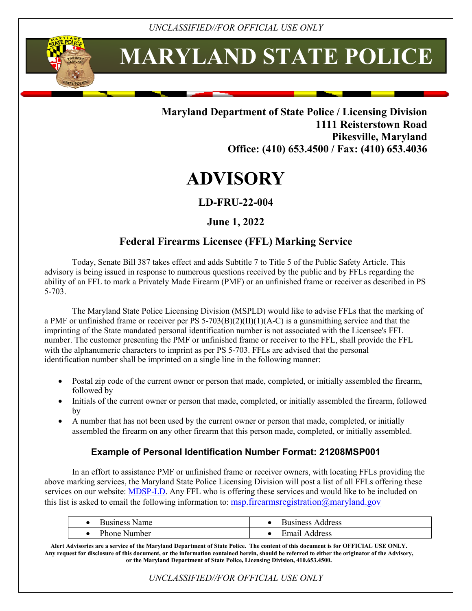í

# **MARYLAND STATE POLICE**

### **Maryland Department of State Police / Licensing Division 1111 Reisterstown Road Pikesville, Maryland Office: (410) 653.4500 / Fax: (410) 653.4036**

## **ADVISORY**

### **LD-FRU-22-004**

### **June 1, 2022**

### **Federal Firearms Licensee (FFL) Marking Service**

Today, Senate Bill 387 takes effect and adds Subtitle 7 to Title 5 of the Public Safety Article. This advisory is being issued in response to numerous questions received by the public and by FFLs regarding the ability of an FFL to mark a Privately Made Firearm (PMF) or an unfinished frame or receiver as described in PS 5-703.

The Maryland State Police Licensing Division (MSPLD) would like to advise FFLs that the marking of a PMF or unfinished frame or receiver per PS 5-703(B)(2)(II)(1)(A-C) is a gunsmithing service and that the imprinting of the State mandated personal identification number is not associated with the Licensee's FFL number. The customer presenting the PMF or unfinished frame or receiver to the FFL, shall provide the FFL with the alphanumeric characters to imprint as per PS 5-703. FFLs are advised that the personal identification number shall be imprinted on a single line in the following manner:

- Postal zip code of the current owner or person that made, completed, or initially assembled the firearm, followed by
- Initials of the current owner or person that made, completed, or initially assembled the firearm, followed by
- A number that has not been used by the current owner or person that made, completed, or initially assembled the firearm on any other firearm that this person made, completed, or initially assembled.

#### **Example of Personal Identification Number Format: 21208MSP001**

In an effort to assistance PMF or unfinished frame or receiver owners, with locating FFLs providing the above marking services, the Maryland State Police Licensing Division will post a list of all FFLs offering these services on our website: **MDSP-LD**. Any FFL who is offering these services and would like to be included on this list is asked to email the following information to: msp.firearmsregistration $\omega$ maryland.gov

| Business.<br>Name      | Business<br>Address<br>Dι |
|------------------------|---------------------------|
| D.<br>Phone.<br>Number | Email<br>ddress           |

**Alert Advisories are a service of the Maryland Department of State Police. The content of this document is for OFFICIAL USE ONLY. Any request for disclosure of this document, or the information contained herein, should be referred to either the originator of the Advisory, or the Maryland Department of State Police, Licensing Division, 410.653.4500.**